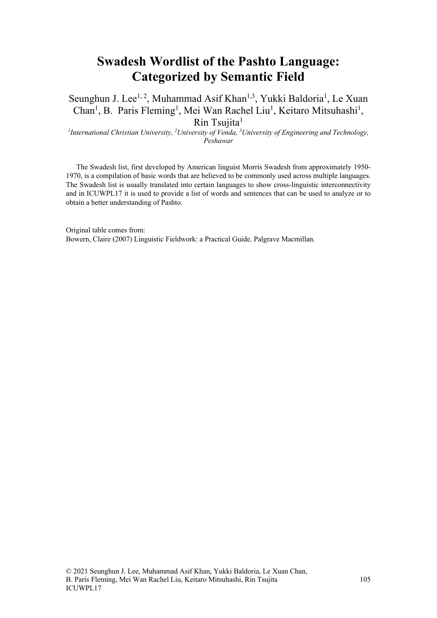## **Swadesh Wordlist of the Pashto Language: Categorized by Semantic Field**

Seunghun J. Lee<sup>1, 2</sup>, Muhammad Asif Khan<sup>1,3</sup>, Yukki Baldoria<sup>1</sup>, Le Xuan Chan<sup>1</sup>, B. Paris Fleming<sup>1</sup>, Mei Wan Rachel Liu<sup>1</sup>, Keitaro Mitsuhashi<sup>1</sup>,  $R$ in Tsujita<sup>1</sup>

*1 International Christian University, 2 University of Venda, 3 University of Engineering and Technology, Peshawar*

The Swadesh list, first developed by American linguist Morris Swadesh from approximately 1950- 1970, is a compilation of basic words that are believed to be commonly used across multiple languages. The Swadesh list is usually translated into certain languages to show cross-linguistic interconnectivity and in ICUWPL17 it is used to provide a list of words and sentences that can be used to analyze or to obtain a better understanding of Pashto.

Original table comes from: Bowern, Claire (2007) Linguistic Fieldwork: a Practical Guide. Palgrave Macmillan.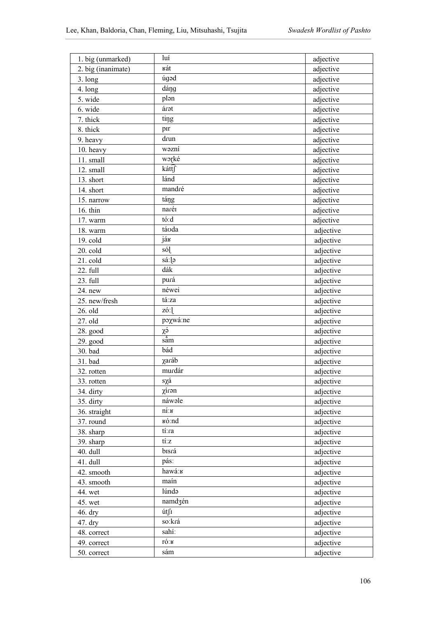| 1. big (unmarked)    | luí                   | adjective |
|----------------------|-----------------------|-----------|
| 2. big (inanimate)   | кát                   | adjective |
| $3.$ long            | úgad                  | adjective |
| 4. long              | dáng                  | adjective |
| 5. wide              | plən                  | adjective |
| 6. wide              | árət                  | adjective |
| 7. thick             | ting                  | adjective |
| 8. thick             | pir                   | adjective |
| 9. heavy             | drun                  | adjective |
| 10. heavy            | wəzni                 | adjective |
| 11. small            | worké                 | adjective |
| 12. small            | káttſ                 | adjective |
| 13. short            | lánd                  | adjective |
| 14. short            | mandré                | adjective |
| 15. narrow           | táng                  | adjective |
| 16. thin             | naréi                 | adjective |
| 17. warm             | tó:d                  | adjective |
| 18. warm             | táoda                 | adjective |
| 19. cold             | ják                   | adjective |
| 20. cold             | só]                   | adjective |
| 21. cold             | sá:]ə                 | adjective |
| 22. full             | dák                   | adjective |
| 23. full             | purá                  | adjective |
| 24. new              | néwei                 | adjective |
| 25. new/fresh        | tá:za                 | adjective |
| 26. old              | zó:1                  | adjective |
| 27. old              | poxwá:ne              | adjective |
| 28. good             | χá                    | adjective |
| 29. good             | sắm                   | adjective |
| 30. bad              | bád                   | adjective |
| 31. bad              | χaráb                 | adjective |
| 32. rotten           | murdár                | adjective |
| 33. rotten           | $s\chi\acute{a}$      | adjective |
| 34. dirty            | χírən                 | adjective |
| 35. dirty            | náwəle                | adjective |
| 36. straight         | $n\acute{\text{i}}$ : | adjective |
| 37. round            | вó:nd                 | adjective |
| 38. sharp            | tí:ra                 | adjective |
| 39. sharp            | tí:z                  | adjective |
|                      | bisrá                 | adjective |
| 40. dull<br>41. dull | pás:                  |           |
| 42. smooth           | hawá:                 | adjective |
|                      | maín                  | adjective |
| 43. smooth           | lúndə                 | adjective |
| 44. wet              | namdzén               | adjective |
| 45. wet              | út∫ī                  | adjective |
| 46. dry              | so:krá                | adjective |
| 47. dry              | sahí:                 | adjective |
| 48. correct          | ró:ĸ                  | adjective |
| 49. correct          |                       | adjective |
| 50. correct          | sám                   | adjective |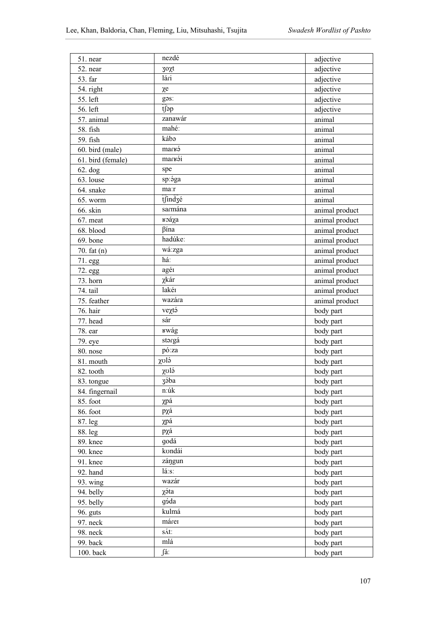| 51. near          | nezdé             | adjective      |
|-------------------|-------------------|----------------|
| 52. near          | $30x$ t           | adjective      |
| 53. far           | $\overline{14ri}$ | adjective      |
| 54. right         | $\chi$ e          | adjective      |
| 55. left          | gas:              | adjective      |
| 56. left          | tfap              | adjective      |
| 57. animal        | zanawár           | animal         |
| 58. fish          | mahé:             | animal         |
| 59. fish          | kába              | animal         |
| 60. bird (male)   | marka             | animal         |
| 61. bird (female) | markái            | animal         |
| $62.$ dog         | spe               | animal         |
| 63. louse         | sp:ága            | animal         |
| 64. snake         | ma:r              | animal         |
| 65. worm          | tsind3é           | animal         |
| 66. skin          | sarmána           | animal product |
| 67. meat          | <b>к</b> оа́уа    | animal product |
| 68. blood         | βína              | animal product |
| 69. bone          | hadúke:           |                |
|                   | wá:zga            | animal product |
| 70. $fat(n)$      | há:               | animal product |
| 71.egg            | agér              | animal product |
| 72. egg           | χkár              | animal product |
| 73. horn          | lakér             | animal product |
| 74. tail          | wazára            | animal product |
| 75. feather       |                   | animal product |
| 76. hair          | veχtá             | body part      |
| 77. head          | sár               | body part      |
| 78. ear           | rwág              | body part      |
| 79. eye           | $\rm{st}$         | body part      |
| 80. nose          | pó:za             | body part      |
| 81. mouth         | χυlá              | body part      |
| 82. tooth         | $\chi$ olá        | body part      |
| 83. tongue        | zába              | body part      |
| 84. fingernail    | n:úk              | body part      |
| 85. foot          | χpá               | body part      |
| 86. foot          | pχá               | body part      |
| 87. leg           | χpá               | body part      |
| 88. leg           | pχá               | body part      |
| 89. knee          | godá              | body part      |
| 90. knee          | kondái            | body part      |
| 91. knee          | zángun            | body part      |
| 92. hand          | lá:s:             | body part      |
| $93. \text{wing}$ | wazár             | body part      |
| 94. belly         | χáta              | body part      |
| 95. belly         | góda              | body part      |
| 96. guts          | kulmá             | body part      |
| 97. neck          | márei             | body part      |
| 98. neck          | sát:              | body part      |
| 99. back          | mlá               | body part      |
| 100. back         | fá:               | body part      |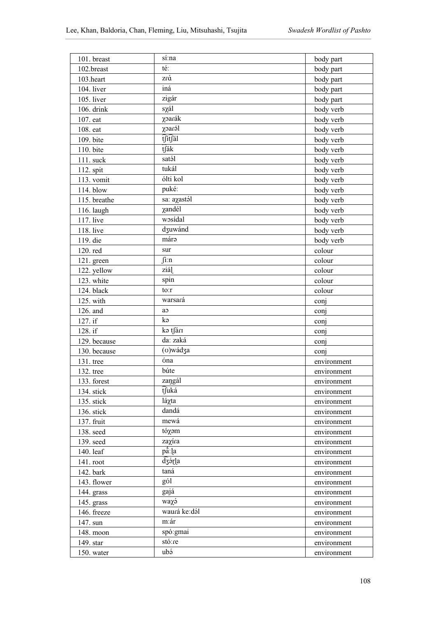| 101. breast  | sí:na                     | body part   |
|--------------|---------------------------|-------------|
| 102.breast   | té:                       | body part   |
| 103.heart    | zrá                       | body part   |
| 104. liver   | iná                       | body part   |
| 105. liver   | zigár                     | body part   |
| 106. drink   | sχál                      | body verb   |
| 107. eat     | χoarák                    | body verb   |
| 108. eat     | χoaról                    | body verb   |
| 109. bite    | tsitsil                   | body verb   |
| 110. bite    | tſák                      | body verb   |
| 111. suck    | satál                     | body verb   |
| 112. spit    | tukál                     | body verb   |
| 113. vomit   | ólti kol                  | body verb   |
| 114. blow    | puké:                     | body verb   |
| 115. breathe | sa: aχastál               | body verb   |
| 116. laugh   | χandél                    | body verb   |
| 117. live    | wosídal                   | body verb   |
| 118. live    | dzuwánd                   | body verb   |
| 119. die     | márə                      | body verb   |
| 120. red     | sur                       | colour      |
|              | $\int$ i:n                | colour      |
| 121. green   | ziál                      |             |
| 122. yellow  | spin                      | colour      |
| 123. white   | to:r                      | colour      |
| 124. black   | warsará                   | colour      |
|              |                           |             |
| 125. with    |                           | conj        |
| 126. and     | ao                        | conj        |
| 127. if      | kə                        | conj        |
| 128. if      | kə tsárı                  | conj        |
| 129. because | da: zaká                  | conj        |
| 130. because | (v)wádza                  | conj        |
| 131. tree    | óna                       | environment |
| 132. tree    | búte                      | environment |
| 133. forest  | zangál                    | environment |
| 134. stick   | tfuká                     | environment |
| 135. stick   | láχta                     | environment |
| 136. stick   | dandá                     | environment |
| 137. fruit   | mewá                      | environment |
| 138. seed    | tóχəm                     | environment |
| 139. seed    | zaχíra                    | environment |
| 140. leaf    | på:la                     | environment |
| 141. root    | dzórla                    | environment |
| 142. bark    | taná                      | environment |
| 143. flower  | gól                       | environment |
| 144. grass   | gajá                      | environment |
| 145. grass   | waχэ́                     | environment |
| 146. freeze  | waurá ke:dál              | environment |
| 147. sun     | m:ár                      | environment |
| 148. moon    | spó: gmai                 | environment |
| 149. star    | stó:re<br>ub <sub>2</sub> | environment |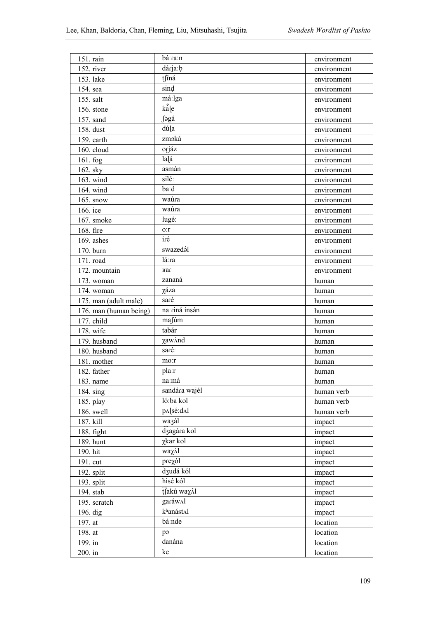| 151. rain              | bá:ra:n           | environment |
|------------------------|-------------------|-------------|
| 152. river             | dárja:b           | environment |
| 153. lake              | tfiná             | environment |
| 154. sea               | sind              | environment |
| 155. salt              | má:lga            | environment |
| 156. stone             | kále              | environment |
| 157. sand              | ∫əgá              | environment |
| 158. dust              | dú a              | environment |
| 159. earth             | zməká             | environment |
| 160. cloud             | orjáz             | environment |
| 161. fog               | la á              | environment |
| 162. sky               | asmán             | environment |
| 163. wind              | silé:             |             |
| 164. wind              | ba:d              | environment |
| 165. snow              | waúra             | environment |
|                        | waúra             | environment |
| 166. ice               |                   | environment |
| 167. smoke             | lugé:             | environment |
| 168. fire              | o:r<br>iré        | environment |
| 169. ashes             |                   | environment |
| 170. burn              | swazedál          | environment |
| 171. road              | lá:ra             | environment |
| 172. mountain          | ваг               | environment |
| 173. woman             | zananá            | human       |
| 174. woman             | χáza              | human       |
| 175. man (adult male)  | saré              | human       |
| 176. man (human being) | na:riná insán     | human       |
| 177. child             | mafúm             | human       |
| 178. wife              | tabár             | human       |
| 179. husband           | χaw/nd            | human       |
| 180. husband           | saré:             | human       |
| 181. mother            | mo:r              | human       |
| 182. father            | pla:r             | human       |
| 183. name              | na:má             | human       |
| 184. sing              | sandára wajél     | human verb  |
| 185. play              | ló:ba kol         | human verb  |
| 186. swell             | p^]sé:d^l         | human verb  |
| 187. kill              | wazál             | impact      |
| 188. fight             | dzagára kol       | impact      |
| 189. hunt              | χkar kol          | impact      |
| 190. hit               | waχ/ <sub>1</sub> | impact      |
| 191. cut               | prezól            | impact      |
| 192. split             | dzudá kól         | impact      |
| 193. split             | hisé kól          | impact      |
| 194. stab              | tĴakú waxál       | impact      |
| 195. scratch           | garáw∧l           | impact      |
| 196. dig               | khanástal         | impact      |
| 197. at                | bá:nde            | location    |
| 198. at                | pə                | location    |
| 199. in                | danána            | location    |
| 200. in                | ke                | location    |
|                        |                   |             |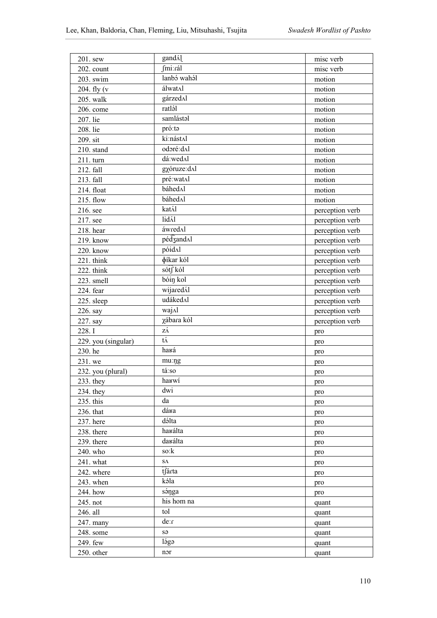| 201. sew            | gand/ <sub>1</sub> | misc verb       |
|---------------------|--------------------|-----------------|
| 202. count          | fmi:rál            | misc verb       |
| 203. swim           | lanbó wahál        | motion          |
| 204. fly $(v)$      | álwat∧l            | motion          |
| 205. walk           | gárzedAl           | motion          |
| 206. come           | ratlál             | motion          |
| 207. lie            | samlástal          | motion          |
| 208. lie            | pró:ta             | motion          |
| 209. sit            | ki:nást^l          | motion          |
| 210. stand          | odoré:dAl          | motion          |
| 211. turn           | dá:wed^l           | motion          |
| 212. fall           | gxóruze:d^l        | motion          |
| 213. fall           | pré:watAl          | motion          |
| 214. float          | báhed^l            | motion          |
| 215. flow           | báhed∧l            | motion          |
| 216. see            | katál              | perception verb |
| 217. see            | lidál              | perception verb |
| 218. hear           | áwredAl            | perception verb |
| 219. know           | pédzandAl          | perception verb |
| 220. know           | póidal             | perception verb |
| 221. think          | φίkar kól          | perception verb |
| 222. think          | sótf kól           | perception verb |
| 223. smell          | bóin kol           | perception verb |
| 224. fear           | wijaredál          | perception verb |
| 225. sleep          | udáked $\Lambda$ l | perception verb |
| 226. say            | wajAl              | perception verb |
| 227. say            | χábara kól         | perception verb |
| 228.I               | zά                 | pro             |
| 229. you (singular) | $t\acute{\Lambda}$ | pro             |
| 230. he             | haká               | pro             |
| 231. we             | mu:ng              | pro             |
| 232. you (plural)   | tá:so              | pro             |
| $233.$ they         | harwi              | pro             |
| $234.$ they         | dwi                | pro             |
| 235. this           | da                 | pro             |
| 236. that           | dára               | pro             |
| 237. here           | dálta              | pro             |
| 238. there          | harálta            | pro             |
| 239. there          | darálta            | pro             |
| 240. who            | so:k               | pro             |
| 241. what           | ${\bf S}\Lambda$   | pro             |
| 242. where          | tfárta             | pro             |
| 243. when           | kəla               | pro             |
| 244. how            | sánga              | pro             |
| 245. not            | his hom na         | quant           |
| 246. all            | tol                | quant           |
| 247. many           | de:r               | quant           |
| 248. some           | sə                 | quant           |
| 249. few            | lága               | quant           |
| 250. other          | nor                | quant           |
|                     |                    |                 |